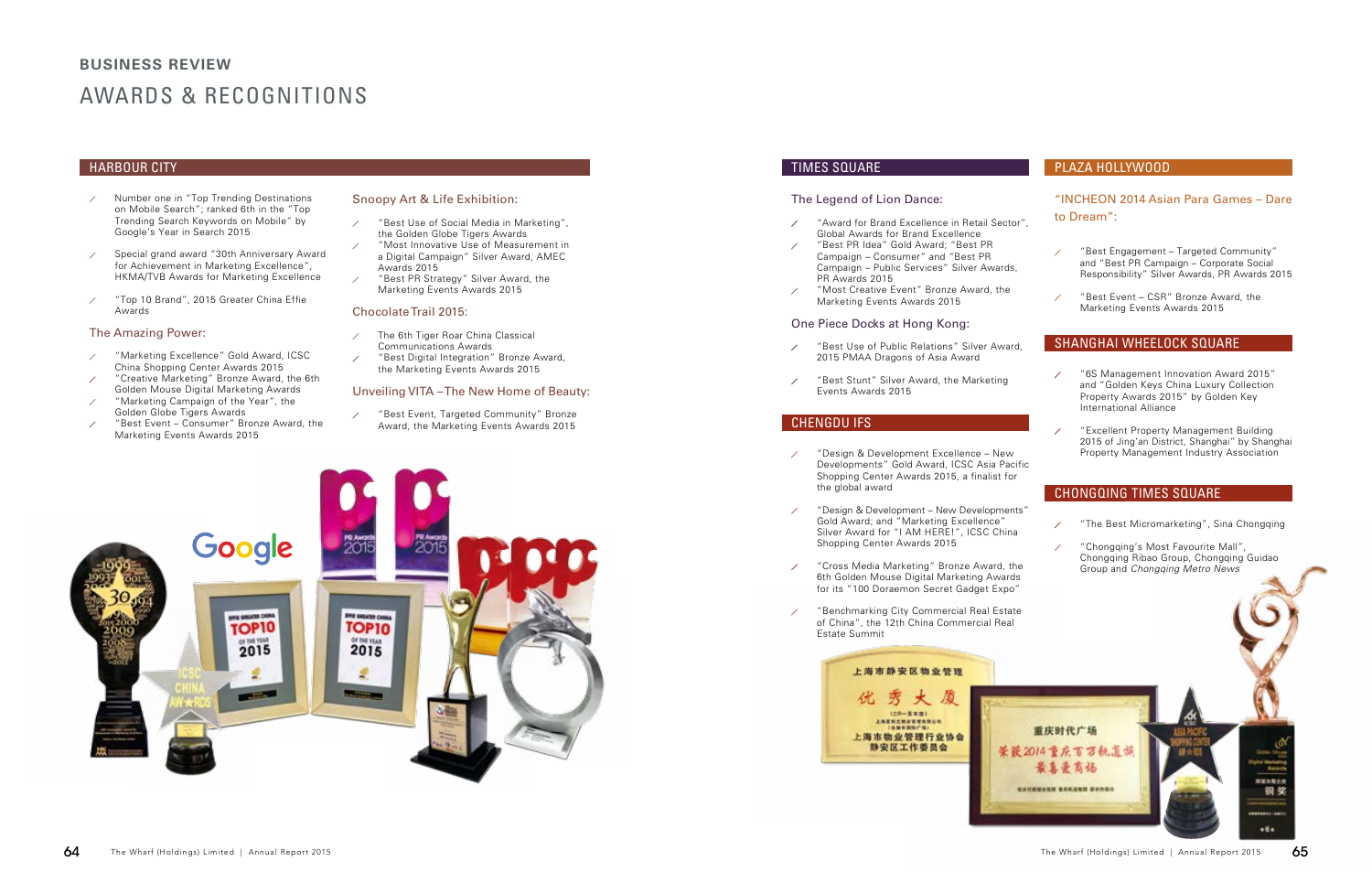# AWARDS & RECOGNITIONS **BUSINESS REVIEW**

- Number one in "Top Trending Destinations on Mobile Search"; ranked 6th in the "Top Trending Search Keywords on Mobile" by Google's Year in Search 2015
- Special grand award "30th Anniversary Award  $\overline{\phantom{a}}$ for Achievement in Marketing Excellence", HKMA/TVB Awards for Marketing Excellence
- "Top 10 Brand", 2015 Greater China Effie Awards

#### The Amazing Power:

- "Marketing Excellence" Gold Award, ICSC China Shopping Center Awards 2015
- "Creative Marketing" Bronze Award, the 6th Golden Mouse Digital Marketing Awards
- "Marketing Campaign of the Year", the Golden Globe Tigers Awards
- "Best Event Consumer" Bronze Award, the Marketing Events Awards 2015

## Snoopy Art & Life Exhibition:

- "Award for Brand Excellence in Retail Sector  $\overline{\phantom{a}}$ Global Awards for Brand Excellence
- "Best PR Idea" Gold Award; "Best PR  $\overline{\phantom{a}}$ Campaign – Consumer" and "Best PR Campaign – Public Services" Silver Awards, PR Awards 2015
- "Most Creative Event" Bronze Award, the  $\overline{\phantom{a}}$ Marketing Events Awards 2015
- "Best Use of Social Media in Marketing",  $\overline{\phantom{a}}$ the Golden Globe Tigers Awards
- "Most Innovative Use of Measurement in a Digital Campaign" Silver Award, AMEC Awards 2015
- "Best PR Strategy" Silver Award, the Marketing Events Awards 2015

#### Chocolate Trail 2015:

The 6th Tiger Roar China Classical  $\overline{\mathscr{S}}$ Communications Awards "Best Digital Integration" Bronze Award,  $\overline{\phantom{a}}$ the Marketing Events Awards 2015

#### Unveiling VITA – The New Home of Beauty:

"Best Event, Targeted Community" Bronze Award, the Marketing Events Awards 2015



 $\overline{\phantom{a}}$ 

## The Legend of Lion Dance:

## One Piece Docks at Hong Kong:

- "Best Use of Public Relations" Silver Award,  $\overline{\phantom{a}}$ 2015 PMAA Dragons of Asia Award
- "Best Stunt" Silver Award, the Marketing  $\overline{\phantom{a}}$ Events Awards 2015

# HARBOUR CITY TIMES SQUARE

"INCHEON 2014 Asian Para Games – Dare

# PLAZA HOLLYWOOD

# CHENGDU IFS

- "Design & Development Excellence New 1 Developments" Gold Award, ICSC Asia Pacit Shopping Center Awards 2015, a finalist for the global award
- "Design & Development New Developments" 1 Gold Award; and "Marketing Excellence" Silver Award for "I AM HERE!", ICSC China Shopping Center Awards 2015
- "Cross Media Marketing" Bronze Award, the  $\overline{\phantom{a}}$ 6th Golden Mouse Digital Marketing Awards for its "100 Doraemon Secret Gadget Expo"
- "Benchmarking City Commercial Real Estate 1 of China", the 12th China Commercial Real Estate Summit



|                               |  | to Dream":                                                                                                                                                |  |  |
|-------------------------------|--|-----------------------------------------------------------------------------------------------------------------------------------------------------------|--|--|
|                               |  | "Best Engagement - Targeted Community"<br>and "Best PR Campaign - Corporate Social<br>Responsibility" Silver Awards, PR Awards 2015                       |  |  |
|                               |  | "Best Event - CSR" Bronze Award, the<br>Marketing Events Awards 2015                                                                                      |  |  |
| I,                            |  | <b>SHANGHAI WHEELOCK SQUARE</b>                                                                                                                           |  |  |
|                               |  | "6S Management Innovation Award 2015"<br>and "Golden Keys China Luxury Collection<br>Property Awards 2015" by Golden Key<br><b>International Alliance</b> |  |  |
|                               |  | "Excellent Property Management Building<br>2015 of Jing'an District, Shanghai" by Shanghai<br><b>Property Management Industry Association</b>             |  |  |
| fic                           |  |                                                                                                                                                           |  |  |
|                               |  | <b>CHONGQING TIMES SQUARE</b>                                                                                                                             |  |  |
| $\mathsf{s}$ "                |  | "The Best Micromarketing", Sina Chongqing                                                                                                                 |  |  |
| е<br>3                        |  | "Chongqing's Most Favourite Mall",<br>Chongqing Ribao Group, Chongqing Guidao<br>Group and Chongqing Metro News                                           |  |  |
| Э                             |  |                                                                                                                                                           |  |  |
|                               |  |                                                                                                                                                           |  |  |
| 重庆时代广场<br>2014重庆百万航道<br>美暴爱商福 |  |                                                                                                                                                           |  |  |
| EXTIRMENT BRANKIN BRINGH      |  |                                                                                                                                                           |  |  |